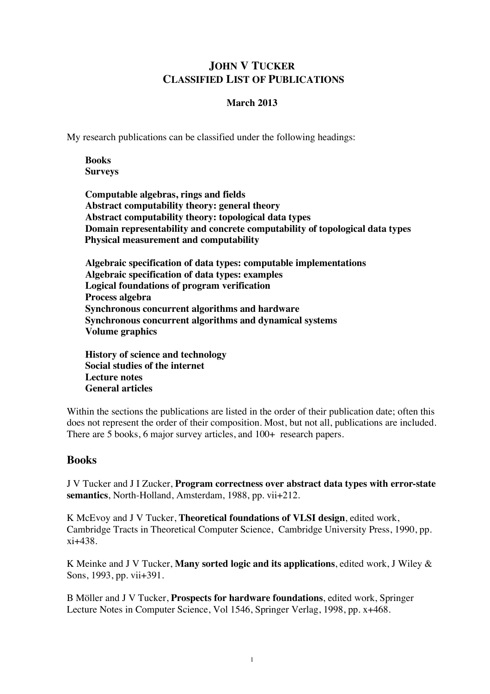# **JOHN V TUCKER CLASSIFIED LIST OF PUBLICATIONS**

### **March 2013**

My research publications can be classified under the following headings:

**Books Surveys**

**Computable algebras, rings and fields Abstract computability theory: general theory Abstract computability theory: topological data types Domain representability and concrete computability of topological data types Physical measurement and computability**

**Algebraic specification of data types: computable implementations Algebraic specification of data types: examples Logical foundations of program verification Process algebra Synchronous concurrent algorithms and hardware Synchronous concurrent algorithms and dynamical systems Volume graphics**

**History of science and technology Social studies of the internet Lecture notes General articles**

Within the sections the publications are listed in the order of their publication date; often this does not represent the order of their composition. Most, but not all, publications are included. There are 5 books, 6 major survey articles, and  $100+$  research papers.

# **Books**

J V Tucker and J I Zucker, **Program correctness over abstract data types with error-state semantics**, North-Holland, Amsterdam, 1988, pp. vii+212.

K McEvoy and J V Tucker, **Theoretical foundations of VLSI design**, edited work, Cambridge Tracts in Theoretical Computer Science, Cambridge University Press, 1990, pp. xi+438.

K Meinke and J V Tucker, **Many sorted logic and its applications**, edited work, J Wiley & Sons, 1993, pp. vii+391.

B Möller and J V Tucker, **Prospects for hardware foundations**, edited work, Springer Lecture Notes in Computer Science, Vol 1546, Springer Verlag, 1998, pp. x+468.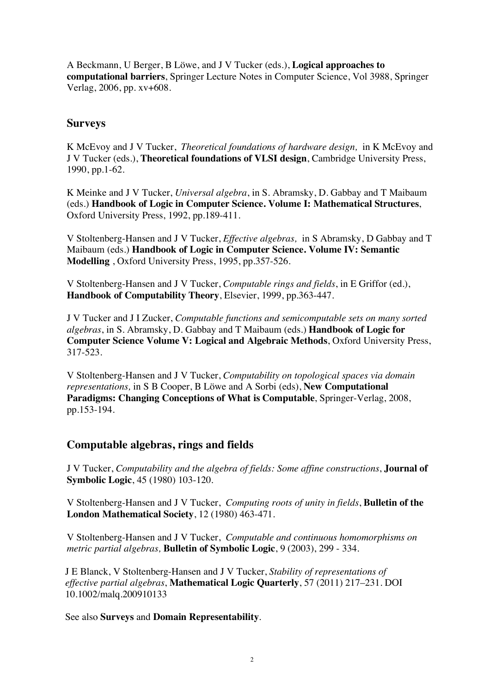A Beckmann, U Berger, B Löwe, and J V Tucker (eds.), **Logical approaches to computational barriers**, Springer Lecture Notes in Computer Science, Vol 3988, Springer Verlag, 2006, pp. xv+608.

# **Surveys**

K McEvoy and J V Tucker, *Theoretical foundations of hardware design,* in K McEvoy and J V Tucker (eds.), **Theoretical foundations of VLSI design**, Cambridge University Press, 1990, pp.1-62.

K Meinke and J V Tucker, *Universal algebra*, in S. Abramsky, D. Gabbay and T Maibaum (eds.) **Handbook of Logic in Computer Science. Volume I: Mathematical Structures**, Oxford University Press, 1992, pp.189-411.

V Stoltenberg-Hansen and J V Tucker, *Effective algebras,* in S Abramsky, D Gabbay and T Maibaum (eds.) **Handbook of Logic in Computer Science. Volume IV: Semantic Modelling** , Oxford University Press, 1995, pp.357-526.

V Stoltenberg-Hansen and J V Tucker, *Computable rings and fields*, in E Griffor (ed.), **Handbook of Computability Theory**, Elsevier, 1999, pp.363-447.

J V Tucker and J I Zucker, *Computable functions and semicomputable sets on many sorted algebras*, in S. Abramsky, D. Gabbay and T Maibaum (eds.) **Handbook of Logic for Computer Science Volume V: Logical and Algebraic Methods**, Oxford University Press, 317-523.

V Stoltenberg-Hansen and J V Tucker, *Computability on topological spaces via domain representations,* in S B Cooper, B Löwe and A Sorbi (eds), **New Computational Paradigms: Changing Conceptions of What is Computable**, Springer-Verlag, 2008, pp.153-194.

# **Computable algebras, rings and fields**

J V Tucker, *Computability and the algebra of fields: Some affine constructions*, **Journal of Symbolic Logic**, 45 (1980) 103-120.

V Stoltenberg-Hansen and J V Tucker, *Computing roots of unity in fields*, **Bulletin of the London Mathematical Society**, 12 (1980) 463-471.

V Stoltenberg-Hansen and J V Tucker, *Computable and continuous homomorphisms on metric partial algebras,* **Bulletin of Symbolic Logic**, 9 (2003), 299 - 334.

J E Blanck, V Stoltenberg-Hansen and J V Tucker, *Stability of representations of effective partial algebras*, **Mathematical Logic Quarterly**, 57 (2011) 217–231. DOI 10.1002/malq.200910133

See also **Surveys** and **Domain Representability**.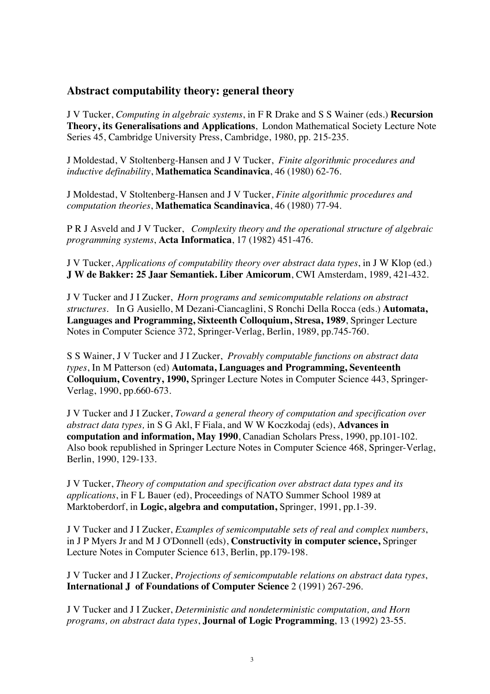# **Abstract computability theory: general theory**

J V Tucker, *Computing in algebraic systems*, in F R Drake and S S Wainer (eds.) **Recursion Theory, its Generalisations and Applications**, London Mathematical Society Lecture Note Series 45, Cambridge University Press, Cambridge, 1980, pp. 215-235.

J Moldestad, V Stoltenberg-Hansen and J V Tucker, *Finite algorithmic procedures and inductive definability*, **Mathematica Scandinavica**, 46 (1980) 62-76.

J Moldestad, V Stoltenberg-Hansen and J V Tucker, *Finite algorithmic procedures and computation theories*, **Mathematica Scandinavica**, 46 (1980) 77-94.

P R J Asveld and J V Tucker, *Complexity theory and the operational structure of algebraic programming systems*, **Acta Informatica**, 17 (1982) 451-476.

J V Tucker, *Applications of computability theory over abstract data types*, in J W Klop (ed.) **J W de Bakker: 25 Jaar Semantiek. Liber Amicorum**, CWI Amsterdam, 1989, 421-432.

J V Tucker and J I Zucker, *Horn programs and semicomputable relations on abstract structures.* In G Ausiello, M Dezani-Ciancaglini, S Ronchi Della Rocca (eds.) **Automata, Languages and Programming, Sixteenth Colloquium, Stresa, 1989**, Springer Lecture Notes in Computer Science 372, Springer-Verlag, Berlin, 1989, pp.745-760.

S S Wainer, J V Tucker and J I Zucker, *Provably computable functions on abstract data types*, In M Patterson (ed) **Automata, Languages and Programming, Seventeenth Colloquium, Coventry, 1990,** Springer Lecture Notes in Computer Science 443, Springer-Verlag, 1990, pp.660-673.

J V Tucker and J I Zucker, *Toward a general theory of computation and specification over abstract data types,* in S G Akl, F Fiala, and W W Koczkodaj (eds), **Advances in computation and information, May 1990**, Canadian Scholars Press, 1990, pp.101-102. Also book republished in Springer Lecture Notes in Computer Science 468, Springer-Verlag, Berlin, 1990, 129-133.

J V Tucker, *Theory of computation and specification over abstract data types and its applications*, in F L Bauer (ed), Proceedings of NATO Summer School 1989 at Marktoberdorf, in **Logic, algebra and computation,** Springer, 1991, pp.1-39.

J V Tucker and J I Zucker, *Examples of semicomputable sets of real and complex numbers*, in J P Myers Jr and M J O'Donnell (eds), **Constructivity in computer science,** Springer Lecture Notes in Computer Science 613, Berlin, pp.179-198.

J V Tucker and J I Zucker, *Projections of semicomputable relations on abstract data types*, **International J of Foundations of Computer Science** 2 (1991) 267-296.

J V Tucker and J I Zucker, *Deterministic and nondeterministic computation, and Horn programs, on abstract data types*, **Journal of Logic Programming**, 13 (1992) 23-55.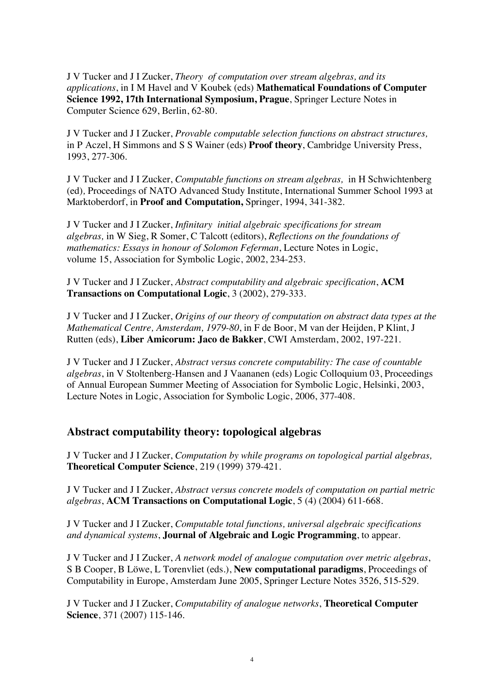J V Tucker and J I Zucker, *Theory of computation over stream algebras, and its applications*, in I M Havel and V Koubek (eds) **Mathematical Foundations of Computer Science 1992, 17th International Symposium, Prague**, Springer Lecture Notes in Computer Science 629, Berlin, 62-80.

J V Tucker and J I Zucker, *Provable computable selection functions on abstract structures,*  in P Aczel, H Simmons and S S Wainer (eds) **Proof theory**, Cambridge University Press, 1993, 277-306.

J V Tucker and J I Zucker, *Computable functions on stream algebras,* in H Schwichtenberg (ed)*,* Proceedings of NATO Advanced Study Institute, International Summer School 1993 at Marktoberdorf, in **Proof and Computation,** Springer, 1994, 341-382.

J V Tucker and J I Zucker, *Infinitary initial algebraic specifications for stream algebras,* in W Sieg, R Somer, C Talcott (editors), *Reflections on the foundations of mathematics: Essays in honour of Solomon Feferman*, Lecture Notes in Logic, volume 15, Association for Symbolic Logic, 2002, 234-253.

J V Tucker and J I Zucker, *Abstract computability and algebraic specification*, **ACM Transactions on Computational Logic**, 3 (2002), 279-333.

J V Tucker and J I Zucker, *Origins of our theory of computation on abstract data types at the Mathematical Centre, Amsterdam, 1979-80*, in F de Boor, M van der Heijden, P Klint, J Rutten (eds), **Liber Amicorum: Jaco de Bakker**, CWI Amsterdam, 2002, 197-221.

J V Tucker and J I Zucker, *Abstract versus concrete computability: The case of countable algebras*, in V Stoltenberg-Hansen and J Vaananen (eds) Logic Colloquium 03, Proceedings of Annual European Summer Meeting of Association for Symbolic Logic, Helsinki, 2003, Lecture Notes in Logic, Association for Symbolic Logic, 2006, 377-408.

# **Abstract computability theory: topological algebras**

J V Tucker and J I Zucker, *Computation by while programs on topological partial algebras,*  **Theoretical Computer Science**, 219 (1999) 379-421.

J V Tucker and J I Zucker, *Abstract versus concrete models of computation on partial metric algebras*, **ACM Transactions on Computational Logic**, 5 (4) (2004) 611-668.

J V Tucker and J I Zucker, *Computable total functions, universal algebraic specifications and dynamical systems*, **Journal of Algebraic and Logic Programming**, to appear.

J V Tucker and J I Zucker, *A network model of analogue computation over metric algebras*, S B Cooper, B Löwe, L Torenvliet (eds.), **New computational paradigms**, Proceedings of Computability in Europe, Amsterdam June 2005, Springer Lecture Notes 3526, 515-529.

J V Tucker and J I Zucker, *Computability of analogue networks*, **Theoretical Computer Science**, 371 (2007) 115-146.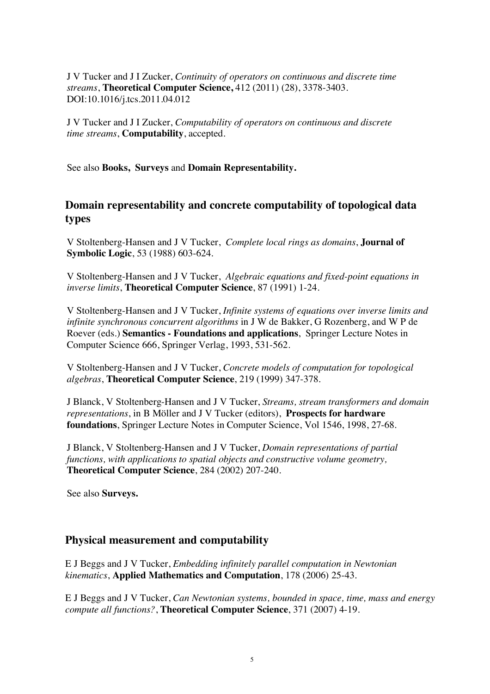J V Tucker and J I Zucker, *Continuity of operators on continuous and discrete time streams*, **Theoretical Computer Science,** 412 (2011) (28), 3378-3403. DOI:10.1016/j.tcs.2011.04.012

J V Tucker and J I Zucker, *Computability of operators on continuous and discrete time streams*, **Computability**, accepted.

See also **Books, Surveys** and **Domain Representability.**

# **Domain representability and concrete computability of topological data types**

V Stoltenberg-Hansen and J V Tucker, *Complete local rings as domains*, **Journal of Symbolic Logic**, 53 (1988) 603-624.

V Stoltenberg-Hansen and J V Tucker, *Algebraic equations and fixed-point equations in inverse limits*, **Theoretical Computer Science**, 87 (1991) 1-24.

V Stoltenberg-Hansen and J V Tucker, *Infinite systems of equations over inverse limits and infinite synchronous concurrent algorithms* in J W de Bakker, G Rozenberg, and W P de Roever (eds.) **Semantics - Foundations and applications**, Springer Lecture Notes in Computer Science 666, Springer Verlag, 1993, 531-562.

V Stoltenberg-Hansen and J V Tucker, *Concrete models of computation for topological algebras*, **Theoretical Computer Science**, 219 (1999) 347-378.

J Blanck, V Stoltenberg-Hansen and J V Tucker, *Streams, stream transformers and domain representations*, in B Möller and J V Tucker (editors), **Prospects for hardware foundations**, Springer Lecture Notes in Computer Science, Vol 1546, 1998, 27-68.

J Blanck, V Stoltenberg-Hansen and J V Tucker, *Domain representations of partial functions, with applications to spatial objects and constructive volume geometry,* **Theoretical Computer Science**, 284 (2002) 207-240.

See also **Surveys.**

#### **Physical measurement and computability**

E J Beggs and J V Tucker, *Embedding infinitely parallel computation in Newtonian kinematics*, **Applied Mathematics and Computation**, 178 (2006) 25-43.

E J Beggs and J V Tucker, *Can Newtonian systems, bounded in space, time, mass and energy compute all functions?*, **Theoretical Computer Science**, 371 (2007) 4-19.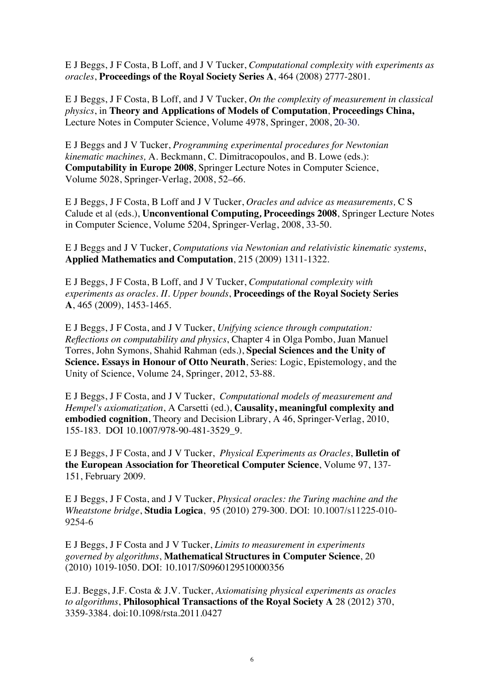E J Beggs, J F Costa, B Loff, and J V Tucker, *Computational complexity with experiments as oracles*, **Proceedings of the Royal Society Series A**, 464 (2008) 2777-2801.

E J Beggs, J F Costa, B Loff, and J V Tucker, *On the complexity of measurement in classical physics*, in **Theory and Applications of Models of Computation**, **Proceedings China,** Lecture Notes in Computer Science, Volume 4978, Springer, 2008, 20-30.

E J Beggs and J V Tucker, *Programming experimental procedures for Newtonian kinematic machines,* A. Beckmann, C. Dimitracopoulos, and B. Lowe (eds.): **Computability in Europe 2008**, Springer Lecture Notes in Computer Science, Volume 5028, Springer-Verlag, 2008, 52–66.

E J Beggs, J F Costa, B Loff and J V Tucker, *Oracles and advice as measurements,* C S Calude et al (eds.), **Unconventional Computing***,* **Proceedings 2008**, Springer Lecture Notes in Computer Science, Volume 5204, Springer-Verlag, 2008, 33-50.

E J Beggs and J V Tucker, *Computations via Newtonian and relativistic kinematic systems*, **Applied Mathematics and Computation**, 215 (2009) 1311-1322.

E J Beggs, J F Costa, B Loff, and J V Tucker, *Computational complexity with experiments as oracles. II. Upper bounds*, **Proceedings of the Royal Society Series A**, 465 (2009), 1453-1465.

E J Beggs, J F Costa, and J V Tucker, *Unifying science through computation: Reflections on computability and physics*, Chapter 4 in Olga Pombo, Juan Manuel Torres, John Symons, Shahid Rahman (eds.), **Special Sciences and the Unity of Science. Essays in Honour of Otto Neurath**, Series: Logic, Epistemology, and the Unity of Science, Volume 24, Springer, 2012, 53-88.

E J Beggs, J F Costa, and J V Tucker, *Computational models of measurement and Hempel's axiomatization*, A Carsetti (ed.), **Causality, meaningful complexity and embodied cognition**, Theory and Decision Library, A 46, Springer-Verlag, 2010, 155-183. DOI 10.1007/978-90-481-3529\_9.

E J Beggs, J F Costa, and J V Tucker, *Physical Experiments as Oracles*, **Bulletin of the European Association for Theoretical Computer Science**, Volume 97, 137- 151, February 2009.

E J Beggs, J F Costa, and J V Tucker, *Physical oracles: the Turing machine and the Wheatstone bridge*, **Studia Logica**, 95 (2010) 279-300. DOI: 10.1007/s11225-010- 9254-6

E J Beggs, J F Costa and J V Tucker, *Limits to measurement in experiments governed by algorithms*, **Mathematical Structures in Computer Science**, 20 (2010) 1019-1050. DOI: 10.1017/S0960129510000356

E.J. Beggs, J.F. Costa & J.V. Tucker, *Axiomatising physical experiments as oracles to algorithms*, **Philosophical Transactions of the Royal Society A** 28 (2012) 370, 3359-3384. doi:10.1098/rsta.2011.0427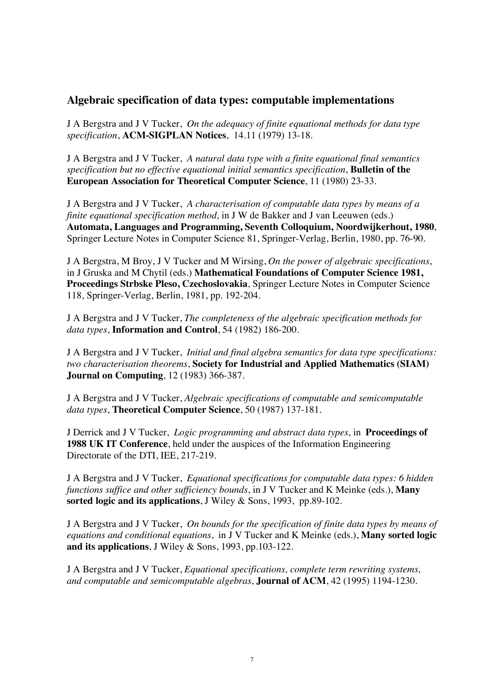# **Algebraic specification of data types: computable implementations**

J A Bergstra and J V Tucker, *On the adequacy of finite equational methods for data type specification*, **ACM-SIGPLAN Notices**, 14.11 (1979) 13-18.

J A Bergstra and J V Tucker, *A natural data type with a finite equational final semantics specification but no effective equational initial semantics specification*, **Bulletin of the European Association for Theoretical Computer Science**, 11 (1980) 23-33.

J A Bergstra and J V Tucker, *A characterisation of computable data types by means of a finite equational specification method*, in J W de Bakker and J van Leeuwen (eds.) **Automata, Languages and Programming, Seventh Colloquium, Noordwijkerhout, 1980**, Springer Lecture Notes in Computer Science 81, Springer-Verlag, Berlin, 1980, pp. 76-90.

J A Bergstra, M Broy, J V Tucker and M Wirsing, *On the power of algebraic specifications*, in J Gruska and M Chytil (eds.) **Mathematical Foundations of Computer Science 1981, Proceedings Strbske Pleso, Czechoslovakia**, Springer Lecture Notes in Computer Science 118, Springer-Verlag, Berlin, 1981, pp. 192-204.

J A Bergstra and J V Tucker, *The completeness of the algebraic specification methods for data types*, **Information and Control**, 54 (1982) 186-200.

J A Bergstra and J V Tucker, *Initial and final algebra semantics for data type specifications: two characterisation theorems*, **Society for Industrial and Applied Mathematics (SIAM) Journal on Computing**, 12 (1983) 366-387.

J A Bergstra and J V Tucker, *Algebraic specifications of computable and semicomputable data types*, **Theoretical Computer Science**, 50 (1987) 137-181.

J Derrick and J V Tucker, *Logic programming and abstract data types*, in **Proceedings of 1988 UK IT Conference**, held under the auspices of the Information Engineering Directorate of the DTI, IEE, 217-219.

J A Bergstra and J V Tucker, *Equational specifications for computable data types: 6 hidden functions suffice and other sufficiency bounds*, in J V Tucker and K Meinke (eds.), **Many sorted logic and its applications**, J Wiley & Sons, 1993, pp.89-102.

J A Bergstra and J V Tucker, *On bounds for the specification of finite data types by means of equations and conditional equations*,in J V Tucker and K Meinke (eds.), **Many sorted logic and its applications**, J Wiley & Sons, 1993, pp.103-122.

J A Bergstra and J V Tucker, *Equational specifications, complete term rewriting systems, and computable and semicomputable algebras*, **Journal of ACM**, 42 (1995) 1194-1230.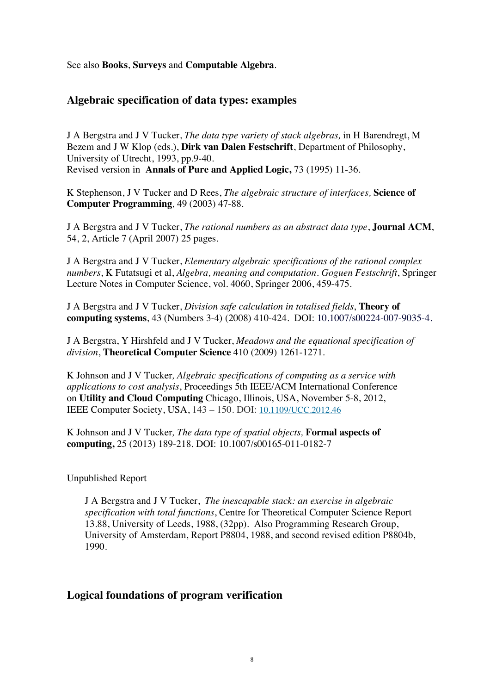See also **Books**, **Surveys** and **Computable Algebra**.

# **Algebraic specification of data types: examples**

J A Bergstra and J V Tucker, *The data type variety of stack algebras,* in H Barendregt, M Bezem and J W Klop (eds.), **Dirk van Dalen Festschrift**, Department of Philosophy, University of Utrecht, 1993, pp.9-40. Revised version in **Annals of Pure and Applied Logic,** 73 (1995) 11-36.

K Stephenson, J V Tucker and D Rees, *The algebraic structure of interfaces,* **Science of Computer Programming**, 49 (2003) 47-88.

J A Bergstra and J V Tucker, *The rational numbers as an abstract data type*, **Journal ACM**, 54, 2, Article 7 (April 2007) 25 pages.

J A Bergstra and J V Tucker, *Elementary algebraic specifications of the rational complex numbers*, K Futatsugi et al, *Algebra, meaning and computation. Goguen Festschrift*, Springer Lecture Notes in Computer Science, vol. 4060, Springer 2006, 459-475.

J A Bergstra and J V Tucker, *Division safe calculation in totalised fields*, **Theory of computing systems**, 43 (Numbers 3-4) (2008) 410-424. DOI: 10.1007/s00224-007-9035-4.

J A Bergstra, Y Hirshfeld and J V Tucker, *Meadows and the equational specification of division*, **Theoretical Computer Science** 410 (2009) 1261-1271.

K Johnson and J V Tucker*, Algebraic specifications of computing as a service with applications to cost analysis*, Proceedings 5th IEEE/ACM International Conference on **Utility and Cloud Computing** Chicago, Illinois, USA, November 5-8, 2012, IEEE Computer Society, USA, 143 – 150. DOI: 10.1109/UCC.2012.46

K Johnson and J V Tucker*, The data type of spatial objects,* **Formal aspects of computing,** 25 (2013) 189-218. DOI: 10.1007/s00165-011-0182-7

Unpublished Report

J A Bergstra and J V Tucker, *The inescapable stack: an exercise in algebraic specification with total functions*, Centre for Theoretical Computer Science Report 13.88, University of Leeds, 1988, (32pp). Also Programming Research Group, University of Amsterdam, Report P8804, 1988, and second revised edition P8804b, 1990.

#### **Logical foundations of program verification**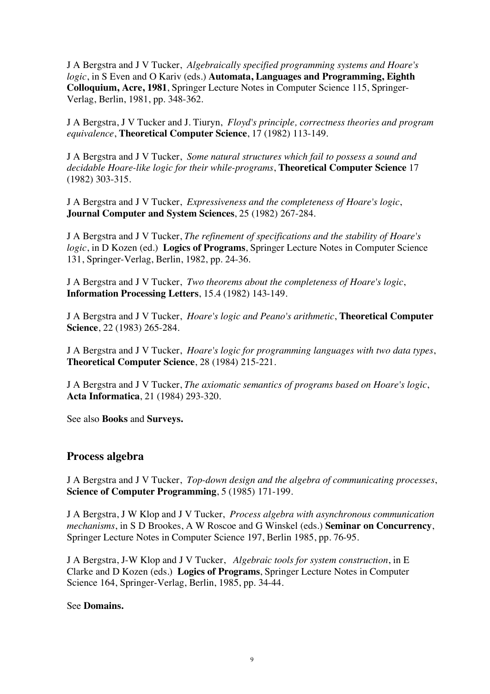J A Bergstra and J V Tucker, *Algebraically specified programming systems and Hoare's logic*, in S Even and O Kariv (eds.) **Automata, Languages and Programming, Eighth Colloquium, Acre, 1981**, Springer Lecture Notes in Computer Science 115, Springer-Verlag, Berlin, 1981, pp. 348-362.

J A Bergstra, J V Tucker and J. Tiuryn, *Floyd's principle, correctness theories and program equivalence*, **Theoretical Computer Science**, 17 (1982) 113-149.

J A Bergstra and J V Tucker, *Some natural structures which fail to possess a sound and decidable Hoare-like logic for their while-programs*, **Theoretical Computer Science** 17 (1982) 303-315.

J A Bergstra and J V Tucker, *Expressiveness and the completeness of Hoare's logic*, **Journal Computer and System Sciences**, 25 (1982) 267-284.

J A Bergstra and J V Tucker, *The refinement of specifications and the stability of Hoare's logic*, in D Kozen (ed.) **Logics of Programs**, Springer Lecture Notes in Computer Science 131, Springer-Verlag, Berlin, 1982, pp. 24-36.

J A Bergstra and J V Tucker, *Two theorems about the completeness of Hoare's logic*, **Information Processing Letters**, 15.4 (1982) 143-149.

J A Bergstra and J V Tucker, *Hoare's logic and Peano's arithmetic*, **Theoretical Computer Science**, 22 (1983) 265-284.

J A Bergstra and J V Tucker, *Hoare's logic for programming languages with two data types*, **Theoretical Computer Science**, 28 (1984) 215-221.

J A Bergstra and J V Tucker, *The axiomatic semantics of programs based on Hoare's logic*, **Acta Informatica**, 21 (1984) 293-320.

See also **Books** and **Surveys.**

#### **Process algebra**

J A Bergstra and J V Tucker, *Top-down design and the algebra of communicating processes*, **Science of Computer Programming**, 5 (1985) 171-199.

J A Bergstra, J W Klop and J V Tucker, *Process algebra with asynchronous communication mechanisms*, in S D Brookes, A W Roscoe and G Winskel (eds.) **Seminar on Concurrency**, Springer Lecture Notes in Computer Science 197, Berlin 1985, pp. 76-95.

J A Bergstra, J-W Klop and J V Tucker, *Algebraic tools for system construction*, in E Clarke and D Kozen (eds.) **Logics of Programs**, Springer Lecture Notes in Computer Science 164, Springer-Verlag, Berlin, 1985, pp. 34-44.

#### See **Domains.**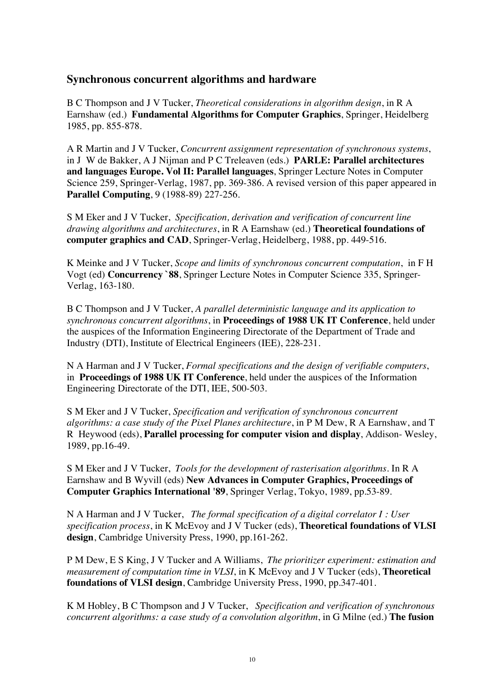# **Synchronous concurrent algorithms and hardware**

B C Thompson and J V Tucker, *Theoretical considerations in algorithm design*, in R A Earnshaw (ed.) **Fundamental Algorithms for Computer Graphics**, Springer, Heidelberg 1985, pp. 855-878.

A R Martin and J V Tucker, *Concurrent assignment representation of synchronous systems*, in J W de Bakker, A J Nijman and P C Treleaven (eds.) **PARLE: Parallel architectures and languages Europe. Vol II: Parallel languages**, Springer Lecture Notes in Computer Science 259, Springer-Verlag, 1987, pp. 369-386. A revised version of this paper appeared in **Parallel Computing**, 9 (1988-89) 227-256.

S M Eker and J V Tucker, *Specification, derivation and verification of concurrent line drawing algorithms and architectures*, in R A Earnshaw (ed.) **Theoretical foundations of computer graphics and CAD**, Springer-Verlag, Heidelberg, 1988, pp. 449-516.

K Meinke and J V Tucker, *Scope and limits of synchronous concurrent computation*, in F H Vogt (ed) **Concurrency `88**, Springer Lecture Notes in Computer Science 335, Springer-Verlag, 163-180.

B C Thompson and J V Tucker, *A parallel deterministic language and its application to synchronous concurrent algorithms*, in **Proceedings of 1988 UK IT Conference**, held under the auspices of the Information Engineering Directorate of the Department of Trade and Industry (DTI), Institute of Electrical Engineers (IEE), 228-231.

N A Harman and J V Tucker, *Formal specifications and the design of verifiable computers*, in **Proceedings of 1988 UK IT Conference**, held under the auspices of the Information Engineering Directorate of the DTI, IEE, 500-503.

S M Eker and J V Tucker, *Specification and verification of synchronous concurrent algorithms: a case study of the Pixel Planes architecture*, in P M Dew, R A Earnshaw, and T R Heywood (eds), **Parallel processing for computer vision and display**, Addison- Wesley, 1989, pp.16-49.

S M Eker and J V Tucker, *Tools for the development of rasterisation algorithms.* In R A Earnshaw and B Wyvill (eds) **New Advances in Computer Graphics, Proceedings of Computer Graphics International '89**, Springer Verlag, Tokyo, 1989, pp.53-89.

N A Harman and J V Tucker, *The formal specification of a digital correlator I : User specification process*, in K McEvoy and J V Tucker (eds), **Theoretical foundations of VLSI design**, Cambridge University Press, 1990, pp.161-262.

P M Dew, E S King, J V Tucker and A Williams, *The prioritizer experiment: estimation and measurement of computation time in VLSI*, in K McEvoy and J V Tucker (eds), **Theoretical foundations of VLSI design**, Cambridge University Press, 1990, pp.347-401.

K M Hobley, B C Thompson and J V Tucker, *Specification and verification of synchronous concurrent algorithms: a case study of a convolution algorithm*, in G Milne (ed.) **The fusion**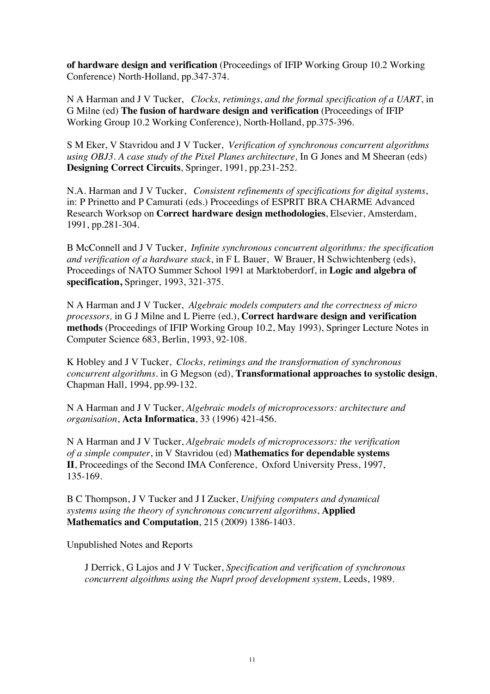**of hardware design and verification** (Proceedings of IFIP Working Group 10.2 Working Conference) North-Holland, pp.347-374.

N A Harman and J V Tucker, *Clocks, retimings, and the formal specification of a UART*, in G Milne (ed) **The fusion of hardware design and verification** (Proceedings of IFIP Working Group 10.2 Working Conference), North-Holland, pp.375-396.

S M Eker, V Stavridou and J V Tucker, *Verification of synchronous concurrent algorithms using OBJ3. A case study of the Pixel Planes architecture,* In G Jones and M Sheeran (eds) **Designing Correct Circuits**, Springer, 1991, pp.231-252.

N.A. Harman and J V Tucker, *Consistent refinements of specifications for digital systems*, in: P Prinetto and P Camurati (eds.) Proceedings of ESPRIT BRA CHARME Advanced Research Worksop on **Correct hardware design methodologies**, Elsevier, Amsterdam, 1991, pp.281-304.

B McConnell and J V Tucker, *Infinite synchronous concurrent algorithms: the specification and verification of a hardware stack*, in F L Bauer, W Brauer, H Schwichtenberg (eds), Proceedings of NATO Summer School 1991 at Marktoberdorf, in **Logic and algebra of specification,** Springer, 1993, 321-375.

N A Harman and J V Tucker, *Algebraic models computers and the correctness of micro processors,* in G J Milne and L Pierre (ed.), **Correct hardware design and verification methods** (Proceedings of IFIP Working Group 10.2, May 1993), Springer Lecture Notes in Computer Science 683, Berlin, 1993, 92-108.

K Hobley and J V Tucker, *Clocks, retimings and the transformation of synchronous concurrent algorithms*. in G Megson (ed), **Transformational approaches to systolic design**, Chapman Hall, 1994, pp.99-132.

N A Harman and J V Tucker, *Algebraic models of microprocessors: architecture and organisation*, **Acta Informatica**, 33 (1996) 421-456.

N A Harman and J V Tucker, *Algebraic models of microprocessors: the verification of a simple computer*, in V Stavridou (ed) **Mathematics for dependable systems II**, Proceedings of the Second IMA Conference, Oxford University Press, 1997, 135-169.

B C Thompson, J V Tucker and J I Zucker, *Unifying computers and dynamical systems using the theory of synchronous concurrent algorithms*, **Applied Mathematics and Computation**, 215 (2009) 1386-1403.

Unpublished Notes and Reports

J Derrick, G Lajos and J V Tucker, *Specification and verification of synchronous concurrent algoithms using the Nuprl proof development system,* Leeds, 1989.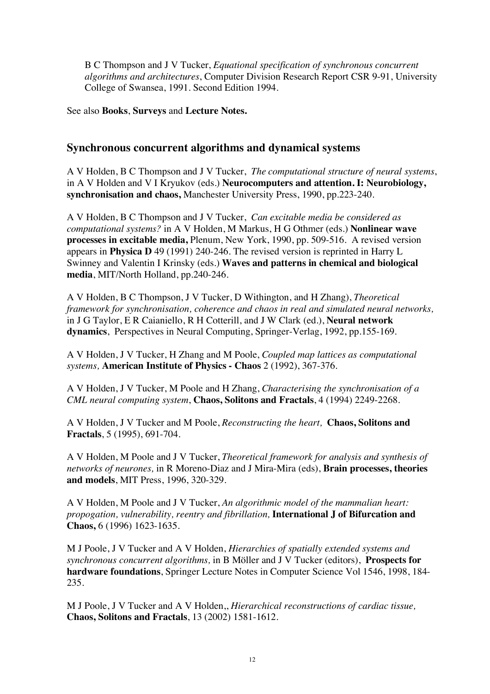B C Thompson and J V Tucker, *Equational specification of synchronous concurrent algorithms and architectures*, Computer Division Research Report CSR 9-91, University College of Swansea, 1991. Second Edition 1994.

See also **Books**, **Surveys** and **Lecture Notes.**

# **Synchronous concurrent algorithms and dynamical systems**

A V Holden, B C Thompson and J V Tucker, *The computational structure of neural systems*, in A V Holden and V I Kryukov (eds.) **Neurocomputers and attention. I: Neurobiology, synchronisation and chaos,** Manchester University Press, 1990, pp.223-240.

A V Holden, B C Thompson and J V Tucker, *Can excitable media be considered as computational systems?* in A V Holden, M Markus, H G Othmer (eds.) **Nonlinear wave processes in excitable media,** Plenum, New York, 1990, pp. 509-516. A revised version appears in **Physica D** 49 (1991) 240-246. The revised version is reprinted in Harry L Swinney and Valentin I Krinsky (eds.) **Waves and patterns in chemical and biological media**, MIT/North Holland, pp.240-246.

A V Holden, B C Thompson, J V Tucker, D Withington, and H Zhang), *Theoretical framework for synchronisation, coherence and chaos in real and simulated neural networks,*  in J G Taylor, E R Caianiello, R H Cotterill, and J W Clark (ed.), **Neural network dynamics**, Perspectives in Neural Computing, Springer-Verlag, 1992, pp.155-169.

A V Holden, J V Tucker, H Zhang and M Poole, *Coupled map lattices as computational systems,* **American Institute of Physics - Chaos** 2 (1992), 367-376.

A V Holden, J V Tucker, M Poole and H Zhang, *Characterising the synchronisation of a CML neural computing system*, **Chaos, Solitons and Fractals**, 4 (1994) 2249-2268.

A V Holden, J V Tucker and M Poole, *Reconstructing the heart,* **Chaos, Solitons and Fractals**, 5 (1995), 691-704.

A V Holden, M Poole and J V Tucker, *Theoretical framework for analysis and synthesis of networks of neurones,* in R Moreno-Diaz and J Mira-Mira (eds), **Brain processes, theories and models**, MIT Press, 1996, 320-329.

A V Holden, M Poole and J V Tucker, *An algorithmic model of the mammalian heart: propogation, vulnerability, reentry and fibrillation,* **International J of Bifurcation and Chaos,** 6 (1996) 1623-1635.

M J Poole, J V Tucker and A V Holden, *Hierarchies of spatially extended systems and synchronous concurrent algorithms,* in B Möller and J V Tucker (editors), **Prospects for hardware foundations**, Springer Lecture Notes in Computer Science Vol 1546, 1998, 184- 235.

M J Poole, J V Tucker and A V Holden,, *Hierarchical reconstructions of cardiac tissue,* **Chaos, Solitons and Fractals**, 13 (2002) 1581-1612.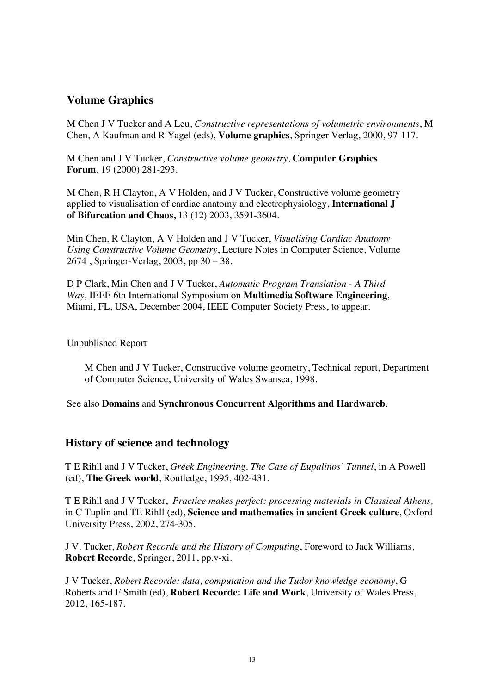# **Volume Graphics**

M Chen J V Tucker and A Leu, *Constructive representations of volumetric environments*, M Chen, A Kaufman and R Yagel (eds), **Volume graphics**, Springer Verlag, 2000, 97-117.

M Chen and J V Tucker, *Constructive volume geometry*, **Computer Graphics Forum**, 19 (2000) 281-293.

M Chen, R H Clayton, A V Holden, and J V Tucker, Constructive volume geometry applied to visualisation of cardiac anatomy and electrophysiology, **International J of Bifurcation and Chaos,** 13 (12) 2003, 3591-3604.

Min Chen, R Clayton, A V Holden and J V Tucker, *Visualising Cardiac Anatomy Using Constructive Volume Geometry*, Lecture Notes in Computer Science, Volume 2674 , Springer-Verlag, 2003, pp 30 – 38.

D P Clark, Min Chen and J V Tucker, *Automatic Program Translation - A Third Way,* IEEE 6th International Symposium on **Multimedia Software Engineering**, Miami, FL, USA, December 2004, IEEE Computer Society Press, to appear.

#### Unpublished Report

M Chen and J V Tucker, Constructive volume geometry, Technical report, Department of Computer Science, University of Wales Swansea, 1998.

See also **Domains** and **Synchronous Concurrent Algorithms and Hardwareb**.

#### **History of science and technology**

T E Rihll and J V Tucker, *Greek Engineering. The Case of Eupalinos' Tunnel*, in A Powell (ed), **The Greek world**, Routledge, 1995, 402-431.

T E Rihll and J V Tucker, *Practice makes perfect: processing materials in Classical Athens,*  in C Tuplin and TE Rihll (ed), **Science and mathematics in ancient Greek culture**, Oxford University Press, 2002, 274-305.

J V. Tucker, *Robert Recorde and the History of Computing*, Foreword to Jack Williams, **Robert Recorde**, Springer, 2011, pp.v-xi.

J V Tucker, *Robert Recorde: data, computation and the Tudor knowledge economy*, G Roberts and F Smith (ed), **Robert Recorde: Life and Work**, University of Wales Press, 2012, 165-187.